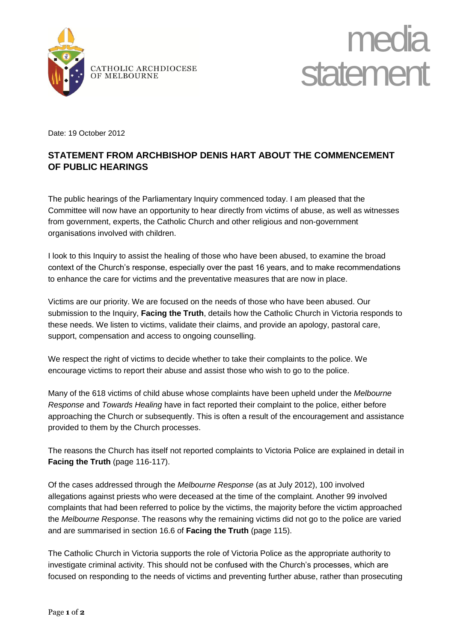



Date: 19 October 2012

## **STATEMENT FROM ARCHBISHOP DENIS HART ABOUT THE COMMENCEMENT OF PUBLIC HEARINGS**

The public hearings of the Parliamentary Inquiry commenced today. I am pleased that the Committee will now have an opportunity to hear directly from victims of abuse, as well as witnesses from government, experts, the Catholic Church and other religious and non-government organisations involved with children.

I look to this Inquiry to assist the healing of those who have been abused, to examine the broad context of the Church's response, especially over the past 16 years, and to make recommendations to enhance the care for victims and the preventative measures that are now in place.

Victims are our priority. We are focused on the needs of those who have been abused. Our submission to the Inquiry, **Facing the Truth**, details how the Catholic Church in Victoria responds to these needs. We listen to victims, validate their claims, and provide an apology, pastoral care, support, compensation and access to ongoing counselling.

We respect the right of victims to decide whether to take their complaints to the police. We encourage victims to report their abuse and assist those who wish to go to the police.

Many of the 618 victims of child abuse whose complaints have been upheld under the *Melbourne Response* and *Towards Healing* have in fact reported their complaint to the police, either before approaching the Church or subsequently. This is often a result of the encouragement and assistance provided to them by the Church processes.

The reasons the Church has itself not reported complaints to Victoria Police are explained in detail in **Facing the Truth** (page 116-117).

Of the cases addressed through the *Melbourne Response* (as at July 2012), 100 involved allegations against priests who were deceased at the time of the complaint. Another 99 involved complaints that had been referred to police by the victims, the majority before the victim approached the *Melbourne Response*. The reasons why the remaining victims did not go to the police are varied and are summarised in section 16.6 of **Facing the Truth** (page 115).

The Catholic Church in Victoria supports the role of Victoria Police as the appropriate authority to investigate criminal activity. This should not be confused with the Church's processes, which are focused on responding to the needs of victims and preventing further abuse, rather than prosecuting